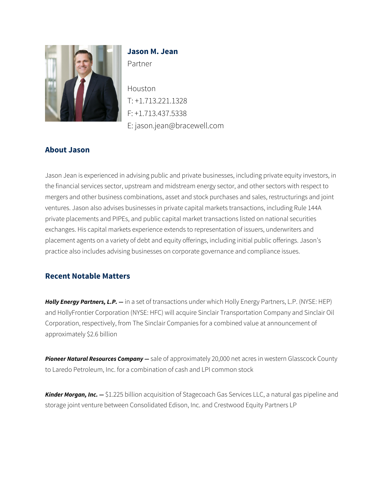

# **Jason M. Jean**

Partner

Houston T: +1.713.221.1328 F: +1.713.437.5338 E: jason.jean@bracewell.com

## **About Jason**

Jason Jean is experienced in advising public and private businesses, including private equity investors, in the financial services sector, upstream and midstream energy sector, and other sectors with respect to mergers and other business combinations, asset and stock purchases and sales, restructurings and joint ventures. Jason also advises businesses in private capital markets transactions, including Rule 144A private placements and PIPEs, and public capital market transactions listed on national securities exchanges. His capital markets experience extends to representation of issuers, underwriters and placement agents on a variety of debt and equity offerings, including initial public offerings. Jason's practice also includes advising businesses on corporate governance and compliance issues.

## **Recent Notable Matters**

*Holly Energy Partners, L.P. —* in a set of transactions under which Holly Energy Partners, L.P. (NYSE: HEP) and HollyFrontier Corporation (NYSE: HFC) will acquire Sinclair Transportation Company and Sinclair Oil Corporation, respectively, from The Sinclair Companies for a combined value at announcement of approximately \$2.6 billion

*Pioneer Natural Resources Company —* sale of approximately 20,000 net acres in western Glasscock County to Laredo Petroleum, Inc. for a combination of cash and LPI common stock

*Kinder Morgan, Inc. —* \$1.225 billion acquisition of Stagecoach Gas Services LLC, a natural gas pipeline and storage joint venture between Consolidated Edison, Inc. and Crestwood Equity Partners LP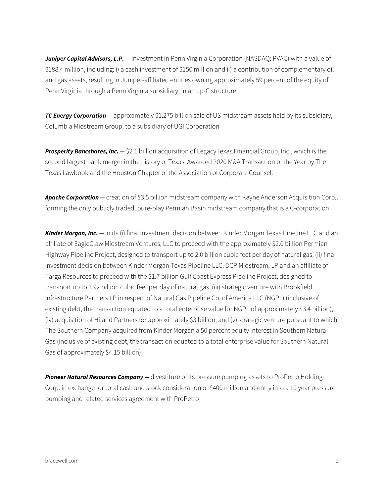Juniper Capital Advisors, L.P. - investment in Penn Virginia Corporation (NASDAQ: PVAC) with a value of \$188.4 million, including: i) a cash investment of \$150 million and ii) a contribution of complementary oil and gas assets, resulting in Juniper-affiliated entities owning approximately 59 percent of the equity of Penn Virginia through a Penn Virginia subsidiary, in an up-C structure

**TC Energy Corporation —** approximately \$1.275 billion sale of US midstream assets held by its subsidiary, Columbia Midstream Group, to a subsidiary of UGI Corporation

*Prosperity Bancshares, Inc. —* \$2.1 billion acquisition of LegacyTexas Financial Group, Inc., which is the second largest bank merger in the history of Texas. Awarded 2020 M&A Transaction of the Year by The Texas Lawbook and the Houston Chapter of the Association of Corporate Counsel.

*Apache Corporation —* creation of \$3.5 billion midstream company with Kayne Anderson Acquisition Corp., forming the only publicly traded, pure-play Permian Basin midstream company that is a C-corporation

*Kinder Morgan, Inc. —* in its (i) final investment decision between Kinder Morgan Texas Pipeline LLC and an affiliate of EagleClaw Midstream Ventures, LLC to proceed with the approximately \$2.0 billion Permian Highway Pipeline Project, designed to transport up to 2.0 billion cubic feet per day of natural gas, (ii) final investment decision between Kinder Morgan Texas Pipeline LLC, DCP Midstream, LP and an affiliate of Targa Resources to proceed with the \$1.7 billion Gulf Coast Express Pipeline Project, designed to transport up to 1.92 billion cubic feet per day of natural gas, (iii) strategic venture with Brookfield Infrastructure Partners LP in respect of Natural Gas Pipeline Co. of America LLC (NGPL) (inclusive of existing debt, the transaction equated to a total enterprise value for NGPL of approximately \$3.4 billion), (iv) acquisition of Hiland Partners for approximately \$3 billion, and (v) strategic venture pursuant to which The Southern Company acquired from Kinder Morgan a 50 percent equity interest in Southern Natural Gas (inclusive of existing debt, the transaction equated to a total enterprise value for Southern Natural Gas of approximately \$4.15 billion)

*Pioneer Natural Resources Company —* divestiture of its pressure pumping assets to ProPetro Holding Corp. in exchange for total cash and stock consideration of \$400 million and entry into a 10 year pressure pumping and related services agreement with ProPetro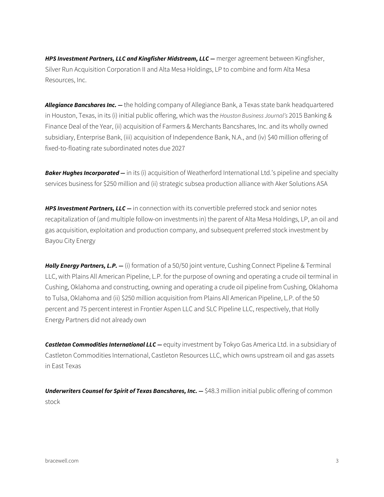HPS Investment Partners, LLC and Kingfisher Midstream, LLC - merger agreement between Kingfisher, Silver Run Acquisition Corporation II and Alta Mesa Holdings, LP to combine and form Alta Mesa Resources, Inc.

*Allegiance Bancshares Inc. —* the holding company of Allegiance Bank, a Texas state bank headquartered in Houston, Texas, in its (i) initial public offering, which was the *Houston Business Journal's* 2015 Banking & Finance Deal of the Year, (ii) acquisition of Farmers & Merchants Bancshares, Inc. and its wholly owned subsidiary, Enterprise Bank, (iii) acquisition of Independence Bank, N.A., and (iv) \$40 million offering of fixed-to-floating rate subordinated notes due 2027

*Baker Hughes Incorporated —* in its (i) acquisition of Weatherford International Ltd.'s pipeline and specialty services business for \$250 million and (ii) strategic subsea production alliance with Aker Solutions ASA

**HPS Investment Partners, LLC** — in connection with its convertible preferred stock and senior notes recapitalization of (and multiple follow-on investments in) the parent of Alta Mesa Holdings, LP, an oil and gas acquisition, exploitation and production company, and subsequent preferred stock investment by Bayou City Energy

*Holly Energy Partners, L.P. —* (i) formation of a 50/50 joint venture, Cushing Connect Pipeline & Terminal LLC, with Plains All American Pipeline, L.P. for the purpose of owning and operating a crude oil terminal in Cushing, Oklahoma and constructing, owning and operating a crude oil pipeline from Cushing, Oklahoma to Tulsa, Oklahoma and (ii) \$250 million acquisition from Plains All American Pipeline, L.P. of the 50 percent and 75 percent interest in Frontier Aspen LLC and SLC Pipeline LLC, respectively, that Holly Energy Partners did not already own

**Castleton Commodities International LLC** — equity investment by Tokyo Gas America Ltd. in a subsidiary of Castleton Commodities International, Castleton Resources LLC, which owns upstream oil and gas assets in East Texas

*Underwriters Counsel for Spirit of Texas Bancshares, Inc. — \$48.3 million initial public offering of common* stock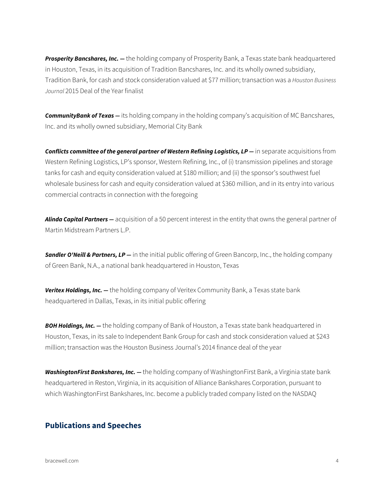**Prosperity Bancshares, Inc.** — the holding company of Prosperity Bank, a Texas state bank headquartered in Houston, Texas, in its acquisition of Tradition Bancshares, Inc. and its wholly owned subsidiary, Tradition Bank, for cash and stock consideration valued at \$77 million; transaction was a *Houston Business Journal* 2015 Deal of the Year finalist

*CommunityBank of Texas —* its holding company in the holding company's acquisition of MC Bancshares, Inc. and its wholly owned subsidiary, Memorial City Bank

**Conflicts committee of the general partner of Western Refining Logistics, LP – in separate acquisitions from** Western Refining Logistics, LP's sponsor, Western Refining, Inc., of (i) transmission pipelines and storage tanks for cash and equity consideration valued at \$180 million; and (ii) the sponsor's southwest fuel wholesale business for cash and equity consideration valued at \$360 million, and in its entry into various commercial contracts in connection with the foregoing

*Alinda Capital Partners —* acquisition of a 50 percent interest in the entity that owns the general partner of Martin Midstream Partners L.P.

**Sandler O'Neill & Partners, LP** — in the initial public offering of Green Bancorp, Inc., the holding company of Green Bank, N.A., a national bank headquartered in Houston, Texas

*Veritex Holdings, Inc. —* the holding company of Veritex Community Bank, a Texas state bank headquartered in Dallas, Texas, in its initial public offering

**BOH Holdings, Inc.** — the holding company of Bank of Houston, a Texas state bank headquartered in Houston, Texas, in its sale to Independent Bank Group for cash and stock consideration valued at \$243 million; transaction was the Houston Business Journal's 2014 finance deal of the year

*WashingtonFirst Bankshares, Inc. —* the holding company of WashingtonFirst Bank, a Virginia state bank headquartered in Reston, Virginia, in its acquisition of Alliance Bankshares Corporation, pursuant to which WashingtonFirst Bankshares, Inc. become a publicly traded company listed on the NASDAQ

#### **Publications and Speeches**